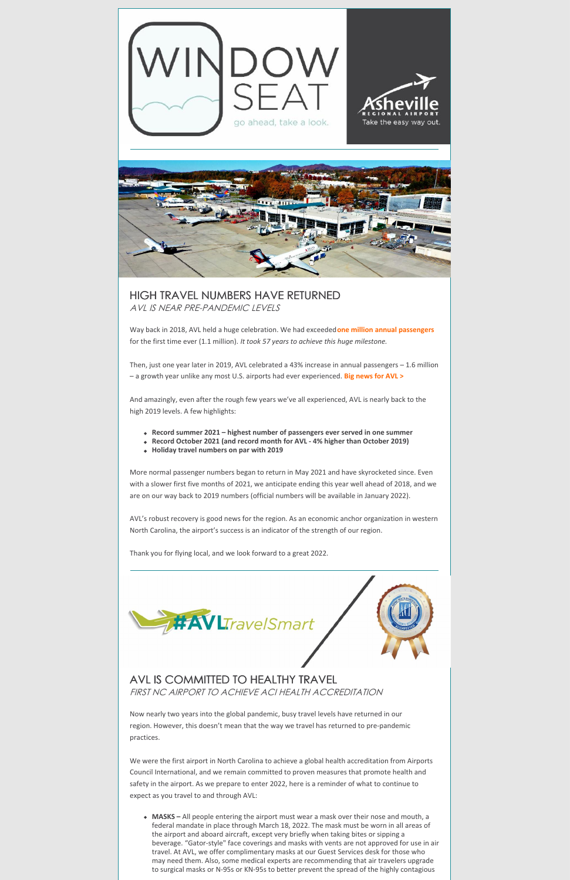

## HIGH TRAVEL NUMBERS HAVE RETURNED AVL IS NEAR PRE-PANDEMIC LEVELS

Way back in 2018, AVL held a huge celebration. We had exceeded**one million annual [passengers](https://flyavl.com/article/avl-served-more-1-million-annual-passengers-first-time-its-history-2018)** for the first time ever (1.1 million). *It took 57 years to achieve this huge milestone.*

Then, just one year later in 2019, AVL celebrated a 43% increase in annual passengers – 1.6 million – a growth year unlike any most U.S. airports had ever experienced. **Big [news](https://flyavl.com/article/unprecedented-43-annual-growth-avl-served-16-million-passengers-2019) for AVL >**

And amazingly, even after the rough few years we've all experienced, AVL is nearly back to the high 2019 levels. A few highlights:

- **Record summer 2021 – highest number of passengers ever served in one summer**
- **Record October 2021 (and record month for AVL - 4% higher than October 2019)**
- **Holiday travel numbers on par with 2019**

More normal passenger numbers began to return in May 2021 and have skyrocketed since. Even with a slower first five months of 2021, we anticipate ending this year well ahead of 2018, and we are on our way back to 2019 numbers (official numbers will be available in January 2022).

AVL's robust recovery is good news for the region. As an economic anchor organization in western North Carolina, the airport's success is an indicator of the strength of our region.

Thank you for flying local, and we look forward to a great 2022.





## AVL IS COMMITTED TO HEALTHY TRAVEL FIRST NC AIRPORT TO ACHIEVE ACI HEALTH ACCREDITATION

Now nearly two years into the global pandemic, busy travel levels have returned in our region. However, this doesn't mean that the way we travel has returned to pre-pandemic practices.

We were the first airport in North Carolina to achieve a global health accreditation from Airports Council International, and we remain committed to proven measures that promote health and safety in the airport. As we prepare to enter 2022, here is a reminder of what to continue to expect as you travel to and through AVL:

**MASKS –** All people entering the airport must wear a mask over their nose and mouth, a federal mandate in place through March 18, 2022. The mask must be worn in all areas of the airport and aboard aircraft, except very briefly when taking bites or sipping a beverage. "Gator-style" face coverings and masks with vents are not approved for use in air travel. At AVL, we offer complimentary masks at our Guest Services desk for those who may need them. Also, some medical experts are recommending that air travelers upgrade to surgical masks or N-95s or KN-95s to better prevent the spread of the highly contagious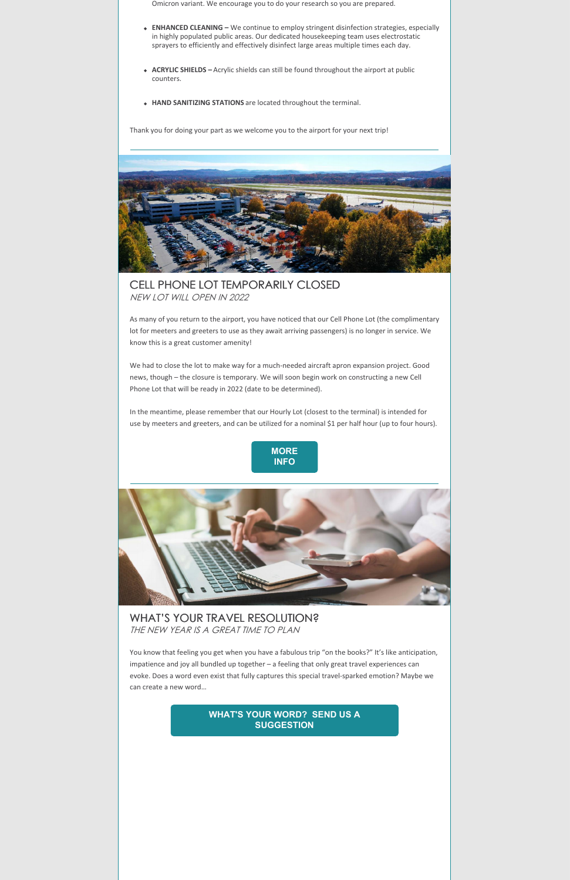Omicron variant. We encourage you to do your research so you are prepared.

- **ENHANCED CLEANING –** We continue to employ stringent disinfection strategies, especially in highly populated public areas. Our dedicated housekeeping team uses electrostatic sprayers to efficiently and effectively disinfect large areas multiple times each day.
- **ACRYLIC SHIELDS –** Acrylic shields can still be found throughout the airport at public counters.
- **HAND SANITIZING STATIONS** are located throughout the terminal.

Thank you for doing your part as we welcome you to the airport for your next trip!



CELL PHONE LOT TEMPORARILY CLOSED NEW LOT WILL OPEN IN 2022

WHAT'S YOUR TRAVEL RESOLUTION? THE NEW YEAR IS A GREAT TIME TO PLAN

As many of you return to the airport, you have noticed that our Cell Phone Lot (the complimentary lot for meeters and greeters to use as they await arriving passengers) is no longer in service. We know this is a great customer amenity!

You know that feeling you get when you have a fabulous trip "on the books?" It's like anticipation, impatience and joy all bundled up together – a feeling that only great travel experiences can evoke. Does a word even exist that fully captures this special travel-sparked emotion? Maybe we can create a new word…

We had to close the lot to make way for a much-needed aircraft apron expansion project. Good news, though – the closure is temporary. We will soon begin work on constructing a new Cell Phone Lot that will be ready in 2022 (date to be determined).

In the meantime, please remember that our Hourly Lot (closest to the terminal) is intended for use by meeters and greeters, and can be utilized for a nominal \$1 per half hour (up to four hours).





## **WHAT'S YOUR WORD? SEND US A [SUGGESTION](mailto:pr@flyavl.com)**